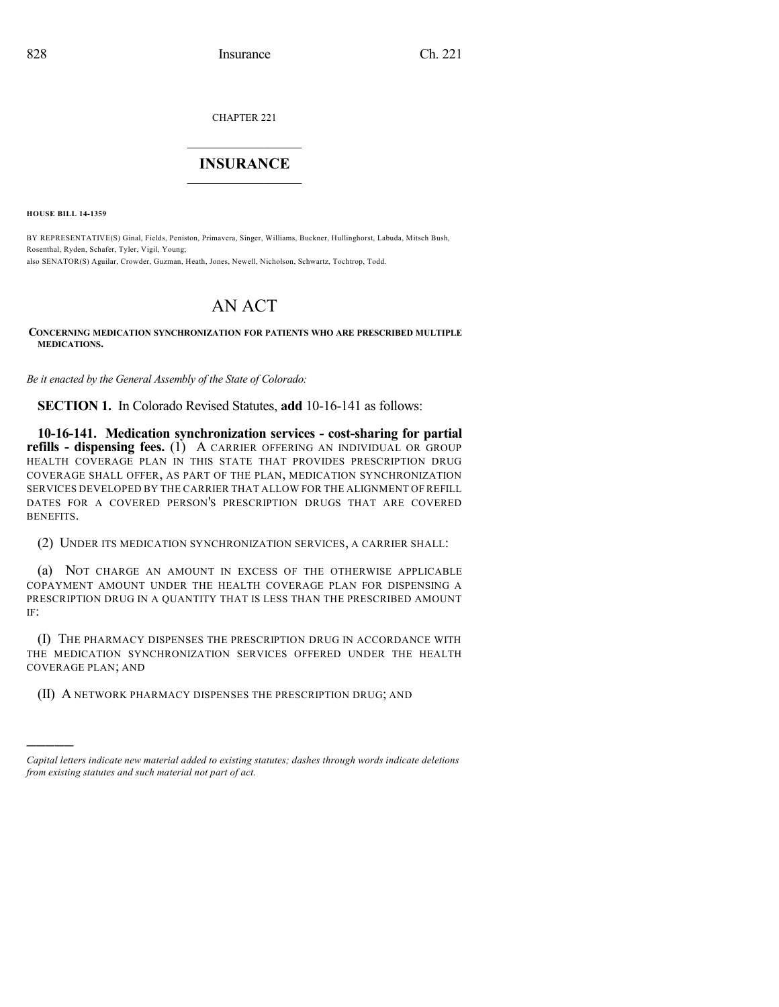CHAPTER 221

## $\mathcal{L}_\text{max}$  . The set of the set of the set of the set of the set of the set of the set of the set of the set of the set of the set of the set of the set of the set of the set of the set of the set of the set of the set **INSURANCE**  $\frac{1}{2}$  ,  $\frac{1}{2}$  ,  $\frac{1}{2}$  ,  $\frac{1}{2}$  ,  $\frac{1}{2}$  ,  $\frac{1}{2}$  ,  $\frac{1}{2}$

**HOUSE BILL 14-1359**

)))))

BY REPRESENTATIVE(S) Ginal, Fields, Peniston, Primavera, Singer, Williams, Buckner, Hullinghorst, Labuda, Mitsch Bush, Rosenthal, Ryden, Schafer, Tyler, Vigil, Young; also SENATOR(S) Aguilar, Crowder, Guzman, Heath, Jones, Newell, Nicholson, Schwartz, Tochtrop, Todd.

## AN ACT

**CONCERNING MEDICATION SYNCHRONIZATION FOR PATIENTS WHO ARE PRESCRIBED MULTIPLE MEDICATIONS.**

*Be it enacted by the General Assembly of the State of Colorado:*

**SECTION 1.** In Colorado Revised Statutes, **add** 10-16-141 as follows:

**10-16-141. Medication synchronization services - cost-sharing for partial refills - dispensing fees.** (1) A CARRIER OFFERING AN INDIVIDUAL OR GROUP HEALTH COVERAGE PLAN IN THIS STATE THAT PROVIDES PRESCRIPTION DRUG COVERAGE SHALL OFFER, AS PART OF THE PLAN, MEDICATION SYNCHRONIZATION SERVICES DEVELOPED BY THE CARRIER THAT ALLOW FOR THE ALIGNMENT OF REFILL DATES FOR A COVERED PERSON'S PRESCRIPTION DRUGS THAT ARE COVERED BENEFITS.

(2) UNDER ITS MEDICATION SYNCHRONIZATION SERVICES, A CARRIER SHALL:

(a) NOT CHARGE AN AMOUNT IN EXCESS OF THE OTHERWISE APPLICABLE COPAYMENT AMOUNT UNDER THE HEALTH COVERAGE PLAN FOR DISPENSING A PRESCRIPTION DRUG IN A QUANTITY THAT IS LESS THAN THE PRESCRIBED AMOUNT IF:

(I) THE PHARMACY DISPENSES THE PRESCRIPTION DRUG IN ACCORDANCE WITH THE MEDICATION SYNCHRONIZATION SERVICES OFFERED UNDER THE HEALTH COVERAGE PLAN; AND

(II) A NETWORK PHARMACY DISPENSES THE PRESCRIPTION DRUG; AND

*Capital letters indicate new material added to existing statutes; dashes through words indicate deletions from existing statutes and such material not part of act.*